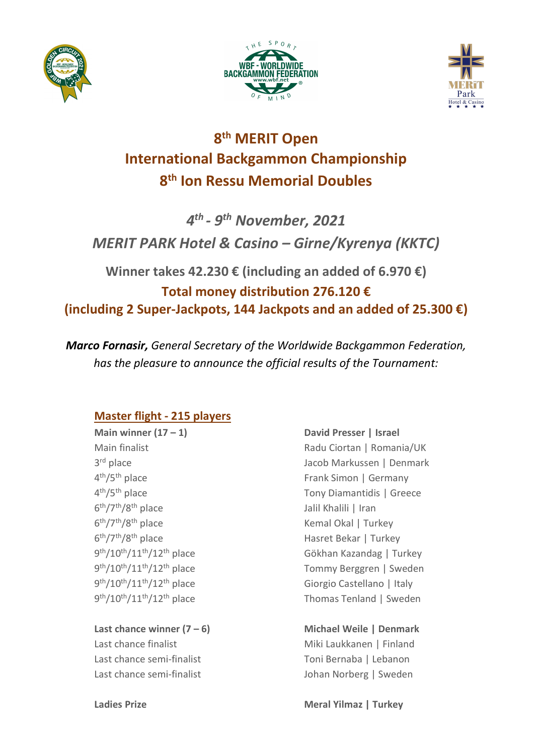





# **8th MERIT Open International Backgammon Championship 8th Ion Ressu Memorial Doubles**

*4th - 9th November, 2021 MERIT PARK Hotel & Casino – Girne/Kyrenya (KKTC)*

**Winner takes 42.230 € (including an added of 6.970 €) Total money distribution 276.120 € (including 2 Super-Jackpots, 144 Jackpots and an added of 25.300 €)**

*Marco Fornasir, General Secretary of the Worldwide Backgammon Federation, has the pleasure to announce the official results of the Tournament:*

# **Master flight - 215 players**

6th/7th/8th place Jalil Khalili | Iran  $6<sup>th</sup>/7<sup>th</sup>/8<sup>th</sup>$  place Kemal Okal | Turkey 6th/7th/8th place Hasret Bekar | Turkey

**Last chance winner (7 – 6) Michael Weile | Denmark** Last chance finalist Miki Laukkanen | Finland Last chance semi-finalist Toni Bernaba | Lebanon Last chance semi-finalist and all the Johan Norberg | Sweden

**Main winner (17 – 1) David Presser | Israel** Main finalist **Main finalist** Radu Ciortan | Romania/UK 3rd place Jacob Markussen | Denmark 4<sup>th</sup>/5<sup>th</sup> place **Frank Simon | Germany** 4<sup>th</sup>/5<sup>th</sup> place Tony Diamantidis | Greece 9<sup>th</sup>/10<sup>th</sup>/11<sup>th</sup>/12<sup>th</sup> place Gökhan Kazandag | Turkey 9th/10th/11th/12th place Tommy Berggren | Sweden 9th/10th/11th/12th place Giorgio Castellano | Italy 9th/10th/11th/12th place Thomas Tenland | Sweden

## **Ladies Prize Meral Yilmaz | Turkey**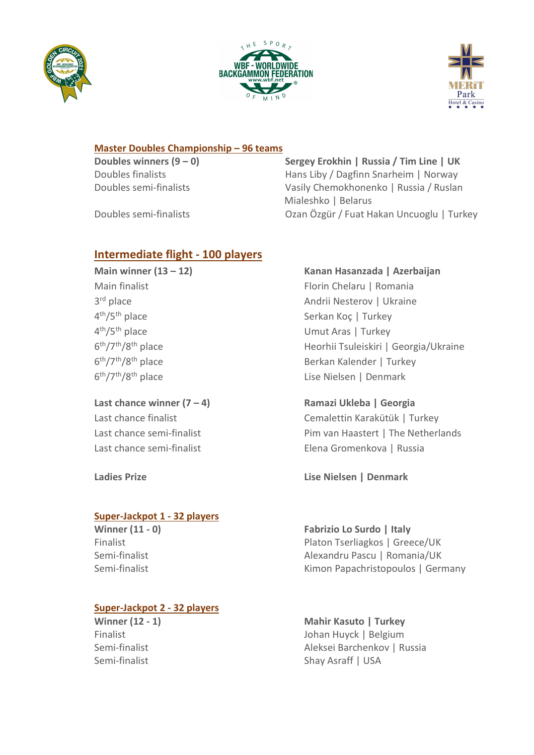





#### **Master Doubles Championship – 96 teams**

**Doubles winners (9 – 0) Sergey Erokhin | Russia / Tim Line | UK** Doubles finalists Hans Liby / Dagfinn Snarheim | Norway Doubles semi-finalists Vasily Chemokhonenko | Russia / Ruslan Mialeshko | Belarus Doubles semi-finalists Ozan Özgür / Fuat Hakan Uncuoglu | Turkey

### **Intermediate flight - 100 players**

**Last chance winner (7 – 4) Ramazi Ukleba | Georgia**

#### **Super-Jackpot 1 - 32 players**

#### **Super-Jackpot 2 - 32 players**

#### **Main winner (13 – 12) Kanan Hasanzada | Azerbaijan**

Main finalist **Florin Chelaru | Romania** 3rd place Andrii Nesterov | Ukraine 4<sup>th</sup>/5<sup>th</sup> place Serkan Koç | Turkey 4th/5th place Umut Aras | Turkey 6<sup>th</sup>/7<sup>th</sup>/8<sup>th</sup> place Heorhii Tsuleiskiri | Georgia/Ukraine 6<sup>th</sup>/7<sup>th</sup>/8<sup>th</sup> place Berkan Kalender | Turkey 6<sup>th</sup>/7<sup>th</sup>/8<sup>th</sup> place Lise Nielsen | Denmark

Last chance finalist Cemalettin Karakütük | Turkey Last chance semi-finalist **Pim van Haastert | The Netherlands** Last chance semi-finalist Elena Gromenkova | Russia

**Ladies Prize Lise Nielsen | Denmark**

**Winner (11 - 0) Fabrizio Lo Surdo | Italy** Finalist **Platon Tserliagkos | Greece/UK** Semi-finalist Alexandru Pascu | Romania/UK Semi-finalist **Kimon Papachristopoulos | Germany** 

**Winner (12 - 1) Mahir Kasuto | Turkey** Finalist Johan Huyck | Belgium Semi-finalist **Aleksei Barchenkov | Russia** Semi-finalist Shay Asraff | USA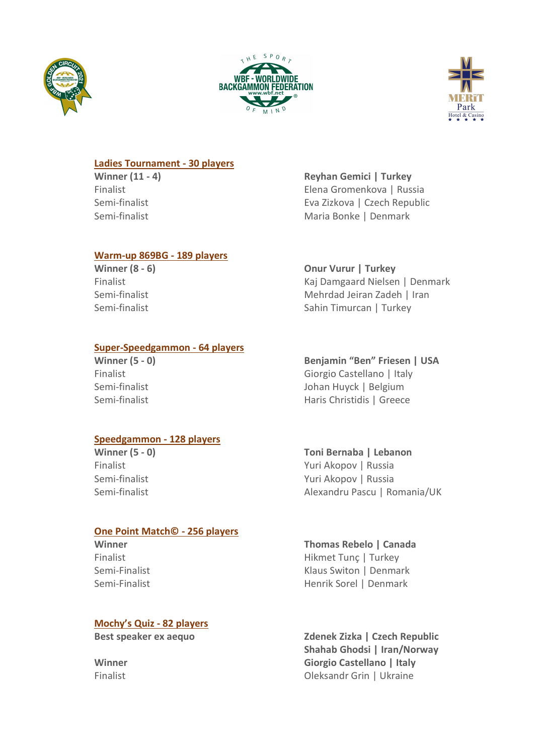





#### **Ladies Tournament - 30 players**

#### **Warm-up 869BG - 189 players**

#### **Super-Speedgammon - 64 players**

#### **Speedgammon - 128 players**

#### **One Point Match© - 256 players**

#### **Mochy's Quiz - 82 players**

**Winner (11 - 4) Reyhan Gemici | Turkey** Finalist Elena Gromenkova | Russia Semi-finalist Eva Zizkova | Czech Republic Semi-finalist Maria Bonke | Denmark

**Winner (8 - 6) Onur Vurur | Turkey**

Finalist Kaj Damgaard Nielsen | Denmark Semi-finalist Mehrdad Jeiran Zadeh | Iran Semi-finalist Semi-finalist Sahin Timurcan | Turkey

**Winner (5 - 0) Benjamin "Ben" Friesen | USA** Finalist Giorgio Castellano | Italy Semi-finalist **Johan Huyck | Belgium** Semi-finalist **Haris Christidis | Greece** 

#### **Winner (5 - 0) Toni Bernaba | Lebanon** Finalist Yuri Akopov | Russia Semi-finalist **Yuri Akopov | Russia** Semi-finalist Alexandru Pascu | Romania/UK

# **Winner Thomas Rebelo | Canada**

Finalist Hikmet Tunç | Turkey Semi-Finalist **Klaus Switon | Denmark** Semi-Finalist **Henrik Sorel | Denmark** 

**Best speaker ex aequo Zdenek Zizka | Czech Republic Shahab Ghodsi | Iran/Norway Winner Giorgio Castellano | Italy** Finalist Oleksandr Grin | Ukraine